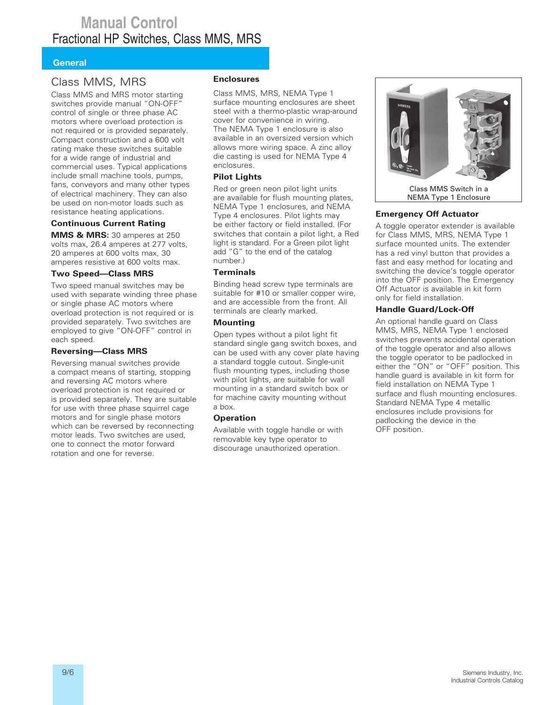## **Manual Control** Fractional HP Switches, Class MMS, MRS

#### **General**

### Class MMS, MRS

Class MMS and MRS motor starting switches provide manual "ON-OFF" control of single or three phase AC motors where overload protection is not required or is provided separately. Compact construction and a 600 volt rating make these switches suitable for a wide range of industrial and commercial uses. Typical applications include small machine tools, pumps, fans, conveyors and many other types of electrical machinery. They can also be used on non-motor loads such as resistance heating applications.

#### **Continuous Current Rating**

**MMS & MRS:** 30 amperes at 250 volts max, 26.4 amperes at 277 volts, 20 amperes at 600 volts max, 30 amperes resistive at 600 volts max.

#### **Two Speed—Class MRS**

Two speed manual switches may be used with separate winding three phase or single phase AC motors where overload protection is not required or is provided separately. Two switches are employed to give "ON-OFF" control in each speed.

#### **Reversing—Class MRS**

Reversing manual switches provide a compact means of starting, stopping and reversing AC motors where overload protection is not required or is provided separately. They are suitable for use with three phase squirrel cage motors and for single phase motors which can be reversed by reconnecting motor leads. Two switches are used, one to connect the motor forward rotation and one for reverse.

#### **Enclosures**

Class MMS, MRS, NEMA Type 1 surface mounting enclosures are sheet steel with a thermo-plastic wrap-around cover for convenience in wiring. The NEMA Type 1 enclosure is also available in an oversized version which allows more wiring space. A zinc alloy die casting is used for NEMA Type 4 enclosures.

#### **Pilot Lights**

Red or green neon pilot light units are available for flush mounting plates, NEMA Type 1 enclosures, and NEMA Type 4 enclosures. Pilot lights may be either factory or field installed. (For switches that contain a pilot light, a Red light is standard. For a Green pilot light add "G" to the end of the catalog number.)

#### **Terminals**

Binding head screw type terminals are suitable for #10 or smaller copper wire, and are accessible from the front. All terminals are clearly marked.

#### **Mounting**

Open types without a pilot light fit standard single gang switch boxes, and can be used with any cover plate having a standard toggle cutout. Single-unit flush mounting types, including those with pilot lights, are suitable for wall mounting in a standard switch box or for machine cavity mounting without a box.

#### **Operation**

Available with toggle handle or with removable key type operator to discourage unauthorized operation.



#### **Emergency Off Actuator**

A toggle operator extender is available for Class MMS, MRS, NEMA Type 1 surface mounted units. The extender has a red vinyl button that provides a fast and easy method for locating and switching the device's toggle operator into the OFF position. The Emergency Off Actuator is available in kit form only for field installation.

#### **Handle Guard/Lock-Off**

An optional handle guard on Class MMS, MRS, NEMA Type 1 enclosed switches prevents accidental operation of the toggle operator and also allows the toggle operator to be padlocked in either the "ON" or "OFF" position. This handle guard is available in kit form for field installation on NEMA Type 1 surface and flush mounting enclosures. Standard NEMA Type 4 metallic enclosures include provisions for padlocking the device in the OFF position.